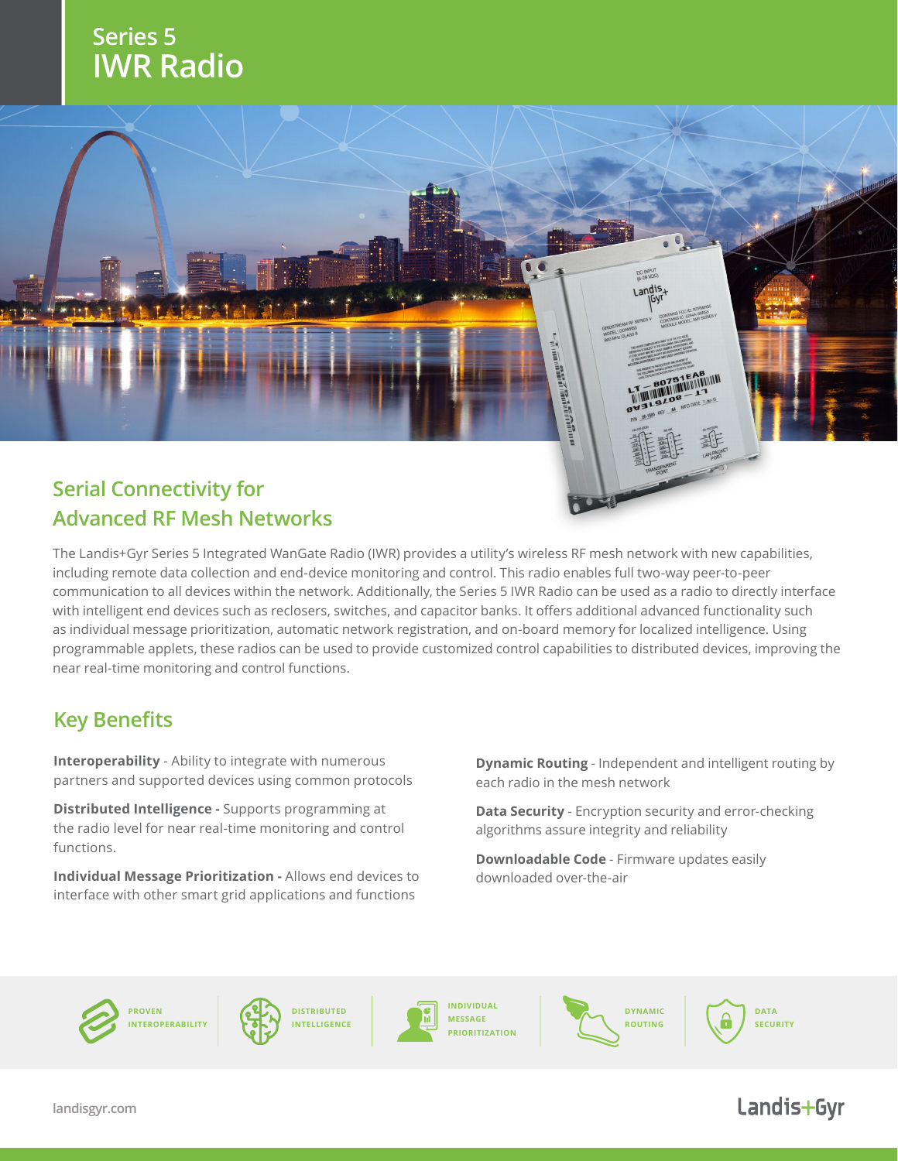## **Series 5 IWR Radio**



# **Advanced RF Mesh Networks**

The Landis+Gyr Series 5 Integrated WanGate Radio (IWR) provides a utility's wireless RF mesh network with new capabilities, including remote data collection and end-device monitoring and control. This radio enables full two-way peer-to-peer communication to all devices within the network. Additionally, the Series 5 IWR Radio can be used as a radio to directly interface with intelligent end devices such as reclosers, switches, and capacitor banks. It offers additional advanced functionality such as individual message prioritization, automatic network registration, and on-board memory for localized intelligence. Using programmable applets, these radios can be used to provide customized control capabilities to distributed devices, improving the near real-time monitoring and control functions.

### **Key Benefits**

**Interoperability** - Ability to integrate with numerous partners and supported devices using common protocols

**Distributed Intelligence -** Supports programming at the radio level for near real-time monitoring and control functions.

**Individual Message Prioritization -** Allows end devices to interface with other smart grid applications and functions

**Dynamic Routing** - Independent and intelligent routing by each radio in the mesh network

**Data Security** - Encryption security and error-checking algorithms assure integrity and reliability

**Downloadable Code** - Firmware updates easily downloaded over-the-air







**INDIVIDUAL MESSAGE PRIORITIZATION**



**DATA SECURITY**

### Landis+Gyr